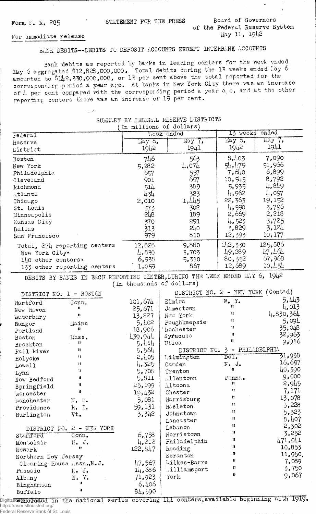## Form F. R. 285 STATEMENT FOR THE PRESS Board of Governors of the Federal Reserve System May 11, 1942

## For immediate release

## BANK DEBITS--DEBITS TO DEPOSIT ACCOUNTS EXCEPT -INTERBANK ACCOUNTS

Bank debits as reported by banks in leading centers for the week ended Iky 6 aggregated §12,828,000,000, Total debits during the 13 weeks ended Lay 6 amounted to  $1/2$ , 330,000,000, or 13 per cent above the total reported for the corresponding period a year ago. At banks in New York City there was an increase of  $\mu$  per cent compared with the corresponding period a year a  $\circ$ , ard at the other reporting centers there was an increase of 19 per cent.

|                                                                             | In millions of dollars)   | POWELL DI LOUELLE HOODN'S DISILIOIS |                                   |                |  |  |  |
|-----------------------------------------------------------------------------|---------------------------|-------------------------------------|-----------------------------------|----------------|--|--|--|
| Federal                                                                     | <b>Leek</b> ended         |                                     | ended<br>13 weeks                 |                |  |  |  |
| keserve                                                                     | Liay 6,                   | May 7,                              | $\overline{$ May $\overline{6}$ , | ilay 7,        |  |  |  |
| District                                                                    | 1942                      | 1941                                | 1942                              | 1941           |  |  |  |
| Boston                                                                      | 746                       | 563                                 | 8,403                             | 7,090          |  |  |  |
| New York                                                                    | 5,282                     | $l_{+}$ ,07 $l_{+}$                 | 54,179                            | 51,966         |  |  |  |
| Philadelphia                                                                | 657                       | 557                                 | 7,640                             | 6,899          |  |  |  |
| Cleveland                                                                   | 901                       | 697                                 | 10, 545                           | 8,792          |  |  |  |
| kichmond                                                                    | 514                       | 389                                 | 5,935                             | 4,849          |  |  |  |
| $_{\rm rt}$ tlanta                                                          | 434                       | 323                                 | 4,962                             | 4,097          |  |  |  |
| Chicago                                                                     | 2,010                     | 1,445                               | 22,363                            | 19,152         |  |  |  |
| St. Louis                                                                   | 373                       | 302                                 | $l_{4}$ , 590                     | 3,795          |  |  |  |
| Minneapolis                                                                 | 218                       | 189                                 | 2,669                             | 2,218          |  |  |  |
|                                                                             | 370                       | 291                                 | 4,523                             | 3,725          |  |  |  |
| Kansas City                                                                 | 313                       | 210                                 | 3,829                             | 3,124          |  |  |  |
| Dallas<br>San Francisco                                                     | 979                       | 810                                 | 12,393                            | 10,177         |  |  |  |
|                                                                             |                           |                                     |                                   | 125,886        |  |  |  |
| Total, $27\mu$ reporting centers                                            | 12,828                    | 9,880                               | 1/2,330<br>49,289                 | 17, 161        |  |  |  |
| New York City*                                                              | 4,830                     | 3,703                               |                                   | 67,968         |  |  |  |
| 140 other centers*                                                          | 6,938                     | 5,310                               | 80,352                            | 10,454         |  |  |  |
| 133 other reporting centers                                                 | 1,059                     | 867                                 | 12,689                            |                |  |  |  |
| DEBITS BY BANKS IN EACH REPORTING CENTER, DURING THE WEEK ENDED MAY 6, 1942 |                           |                                     |                                   |                |  |  |  |
|                                                                             | (In thousands of dollars) |                                     |                                   |                |  |  |  |
| DISTRICT NO. 1 - BOSTON                                                     |                           | DISTRICT NO. 2 - NEW YORK (Cont'd)  |                                   |                |  |  |  |
| Hartford<br>Conn.                                                           | 101,674                   | Elmira                              | $N_{\bullet}$ Y.                  | 5,443          |  |  |  |
| Ħ<br>New Haven                                                              | 25,671                    | Jamestown                           | 11                                | 4,013          |  |  |  |
| $\mathbf{H}$<br>Waterbury                                                   | 13,227                    | Now York                            | 11                                | 4,830,364      |  |  |  |
| Maine<br>Bangor                                                             | 5,402                     | Poughkeepsie                        | n                                 | 5,094          |  |  |  |
| Ħ<br>Portland                                                               | 18,906                    | 'kochester                          | Ħ                                 | 35,048         |  |  |  |
| Boston<br>Mass.                                                             | 439,944                   | Syracuse                            | Ħ                                 | 32,963         |  |  |  |
| 11<br>Brockton                                                              | 5,414                     | Utica                               | Ħ                                 | 9,916          |  |  |  |
| 11<br>Fall kiver                                                            | 5,564                     | DISTRICT NO. 3                      |                                   | - PHILLDELPHIA |  |  |  |
| Ħ<br>Holyoke                                                                | 2,405                     | Lilmington                          | Del.                              | 31,938         |  |  |  |
| $\mathbf{H}$<br>Lowell                                                      | 4,325                     | Camden                              | $N - J$ .                         | 16,697         |  |  |  |
| 11<br>Lynn                                                                  | 5,708                     | Trenton                             | 8                                 | 40,390         |  |  |  |
| Ħ<br>New Bedford                                                            | 5,811                     | Allentown                           | Penna.                            | 9,000          |  |  |  |
| Ħ<br>Springfield                                                            | 25,199                    | Altoona                             | $\mathbf{H}$                      | 2,945          |  |  |  |
| Ħ<br>Worcester                                                              | 19,432                    | Chester                             | $\mathbf{u}$                      | 7,171          |  |  |  |
| manchester<br>N. H.                                                         | 5,081                     | Harrisburg                          | Ħ                                 | 13,078         |  |  |  |
| Providence<br>$R_• I.$                                                      | 59,131                    | Hazleton                            | Ħ                                 | 3,228          |  |  |  |
| Vt.<br>Burlington                                                           | 3,342                     | Johnstown                           | Ħ                                 | 5,323          |  |  |  |
|                                                                             |                           | Lancaster                           | 8                                 | 8,407          |  |  |  |
| DISTRICT NO. 2 - NEW YORK                                                   |                           | Lebanon                             | Ħ                                 | 2,302          |  |  |  |
| Stamford<br>Com.                                                            | 6,758                     | Norristown                          | $\mathbf{H}$                      | 3,252          |  |  |  |
| Montclair<br>$N$ . J.                                                       | 4,212                     | Philadelphia                        | 11                                | 471,041        |  |  |  |
| Ħ                                                                           | 122, 847                  | Reading                             | Ħ                                 | 10,853         |  |  |  |
| Newark                                                                      |                           | Seranton                            | 88                                | 11,950.        |  |  |  |
| Northern New Jersey                                                         | 47,567                    | Wilkes-Barre                        | Ħ                                 | 7,089          |  |  |  |
| Clearing House Assn., N.J.                                                  | 14,686                    | Williamsport                        | $^{\rm{1}}$                       | 3,750          |  |  |  |
| $\mathbb{N}$ . J.<br>Passaic                                                |                           | York                                | 11                                | 9,067          |  |  |  |
| N. Y.<br>Albany<br>$\mathbf{H}$                                             | 71,923                    |                                     |                                   |                |  |  |  |
| Binghamton<br>n                                                             | 6,406                     |                                     |                                   |                |  |  |  |
| Buffalo                                                                     | 84,590                    |                                     |                                   |                |  |  |  |

## SUMMARY BY FELLELL RESERVE DISTRICTS

Digitized **Mondated** in the national series covering  $I_{4}$ l centers, available beginning with 1919. http://fraser.stlouisfed.org/ Federal Reserve Bank of St. Louis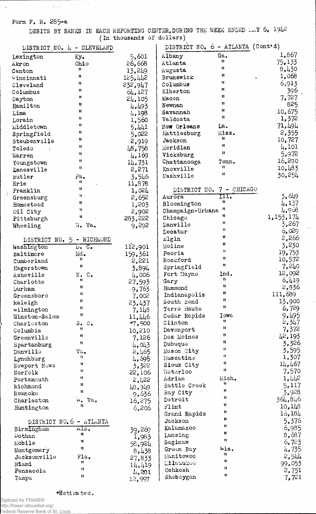Form F. R. 285-a

 $\bar{f}$ 

 $\hat{\rho}_s$  ,  $\hat{\omega}$ 

 $\mathcal{A}$ 

DEBITS BY BANKS IN EACH REPORTING (In thousands CENTER, DURING THE WEEK ENDED of dollars) \*Y 6, 1942

|                                    | DISTRICT NO. $l_+$ - CLEVELAND |             | DISTRICT NO. 6 - ATLANTA (Cont'd) |                   |                 |
|------------------------------------|--------------------------------|-------------|-----------------------------------|-------------------|-----------------|
| Lexington                          | Ky.                            | 5,601       | Albany                            | Ga.               | 1,867           |
| Akron                              | Ohio                           | 26,668      | Atlanta                           | 31                | 75,133          |
| Canton                             | 11                             | 13,249      | Augusta                           | n                 | 8,430           |
| Uincinnati                         | 11                             | 125,442     | Brunswick                         | Ħ                 | 1,068           |
| Cleveland                          | 11                             | 232,947     | Columbus                          | Ħ                 | 6,913           |
| Columbus                           | n                              | 64,127      | Elberton                          | 11                | 396             |
| Dayton                             | $\mathbf{H}$                   | 24,105      | Macon                             | n                 | 7,727           |
| Hamilton                           | $\mathbf{1}$                   | 4,493       | Newnan                            | ņ                 | 825             |
| Lima                               | $\mathbf{H}$                   | 4,198       | Savannah                          | Ħ                 | 10,675          |
| Lorain                             | $\mathbf{H}$                   | 1,560       | Valdosta                          | n                 | $-1,372$        |
| Middletown                         | 11                             | 5.441       | Now Orleans                       | La.               | 71,494          |
| Springfield                        | $\mathbf{H}$                   | 5,022       | Hattiesburg                       | Miss.             | 2,355           |
| Steubenville                       | Ħ                              | 2,919       | Jackson                           | Ħ                 | 10,727          |
| Toledo<br>$\overline{\phantom{a}}$ | Ħ                              | 48,758      | Meridian                          | 11                | 4,101           |
| Warren                             | Ħ                              | 4,169       | Vicksburg                         | 11                | 5,972           |
| Youngstown                         | Ħ                              | 14,731      | Chattanooga                       | Tenn.             | 16,290          |
| Zanesville                         | 11.                            | 2,271       | Knoxville                         | Ħ                 | 10,483          |
| Butler                             | Pa.                            | 3,546       | Nashville                         | $\mathbf{u}$      | 30,254          |
| Erie                               | n                              | 11,878      |                                   |                   |                 |
| Franklin                           | Ħ                              | 1,024       | DISTRICT NO.                      | $7 - CHICAGO$     |                 |
| Greensburg                         | Ħ                              | 2,652       | Aurora                            | III.              | 3,649           |
| Homestead                          | Ħ                              | 1,203       | Bloomington                       | 11                | 4,137           |
| Oil City                           | n                              | 2,902       | Champaign-Urbana                  | 11                | 4,968           |
| Pittsburgh                         | Ħ                              | 283,222     | Chicago                           | 11                | 1,153,174       |
| Wheeling                           | W. Va.                         | 9,292       | Danville                          | 11                | 3,267           |
|                                    |                                |             | Decatur                           | Ħ                 | 6,029           |
| DISTRICT NO. 5 - RICHMOND          |                                |             | Elgin                             | Ħ                 | 2,266           |
| Washington                         | $D_{\bullet}$ $C_{\bullet}$    | 112,901     | Moline                            | Ħ                 | 3,230           |
| Baltimore                          | $_{\rm Md}$ .                  | 159,361     | Peoria                            | n                 | 19,753          |
| Cumberland                         | Ħ                              | 2,221       | Rockford                          | $\mathbf{u}$      | 10,572          |
| Hagerstown                         | u                              | 3,894       | Springfield                       | Ħ                 | 7,240           |
| Asheville                          | $N_{\bullet}$ $C_{\bullet}$    | 4,006       | Fort Wayne                        | Ind.              | 12,092          |
| Charlotte                          | Ħ                              | 27,593      | Gary                              | u<br>$\mathbf{u}$ | 6,419           |
| <b>Durham</b>                      | Ħ                              | 9,763       | Hammond                           | n                 | 2,836           |
| Greensboro                         | Ħ                              | 7,002       | Indianapolis                      | Ħ                 | 111,689         |
| Raleigh                            | Ħ                              | 23,437      | South Bend                        | 11                | 13,900          |
| Wilmington                         | Ħ                              | 7,148       | Terre Haute                       |                   | 6,729           |
| Winston-Salem                      | Ħ                              | 11,446      | Cedar Rapids                      | Iowa<br>Ħ         | 9,495           |
| Charleston                         | $S - C$ .<br>Ħ                 | $*7,500$    | Clinton                           | $\mathbf{u}$      | 2,347           |
| Columbia                           | 11                             | 10,210      | Davenport                         | Ħ                 | 7,372           |
| Greenville                         | $\mathbf{H}$ .                 | 7,126       | Des Moines                        | 11                | 42,193          |
| Spartanburg                        |                                | 4,043       | Dubuque                           | 11                | 3,326           |
| Danville                           | Va,<br>п                       | 2,465       | Mason City                        | n                 | 3,595<br>1,307  |
| Lynchburg                          | Ħ                              | 4,695       | Muscatine                         | $\mathbf{11}$     | 14,467          |
| Newport Nows                       | n                              | 3,322       | Sioux City<br>Waterloo            | 11                | 7,570           |
| Norfolk                            | 11                             | 22,106      | Adrian                            | Mich.             | 1,442           |
| Portsmouth                         | 11                             | 2,422       | Battle Creek                      | 11                | 5,117           |
| Richmond                           | 11                             | 48,949      | Bay City                          | Ħ                 | 3,928           |
| Roanoke                            |                                | 9,636       | Detroit                           | $\mathbf{u}$      | 364,846         |
| Charleston                         | W.<br>Va.<br>Ħ                 | 16,275      | Flint                             | Ħ                 | 10,148          |
| Huntington                         |                                | 6,206       | Grand Rapids                      | u                 | 16 <b>,</b> 184 |
|                                    |                                |             | Jackson                           | n                 | 5,376           |
|                                    | DISTRICT NO. 6 - ATLANTA       |             | Kalamazoo                         | Ħ                 | 6,985           |
| Birmingham                         | Ala.<br>Ħ                      | 39,269      | Lansing                           | u                 | 8,687           |
| Dothan                             | 11                             | 1,983       | Saginaw                           | $\mathbf{u}$      | 6,723           |
| Mobile                             | n                              | 58,924      | Green Bay                         | Wis.              | 4,735           |
| Montgomery                         | Fla.                           | 8,438       | Manitowoc                         | 11                | 2,544           |
| Jacksonville                       | n                              | 27,833      | <b>Eilwaukoo</b>                  | 11                | 99,053          |
| Miami<br>Pensacola                 | 11                             | 14,419      | Oshkosh                           | u                 | 2,751           |
|                                    | Ħ                              | $\mu$ , 201 | Sheboygan                         | Ħ                 | 7,721           |
| Tampa                              |                                | 12,997      |                                   |                   |                 |

 $\hat{\mathcal{C}}$ 

♦Estimated,

 $\ddot{\phantom{1}}$ Digitized for FRASER http://fraser.stlouisfed.org/

Federal Reserve Bank of St. Louis